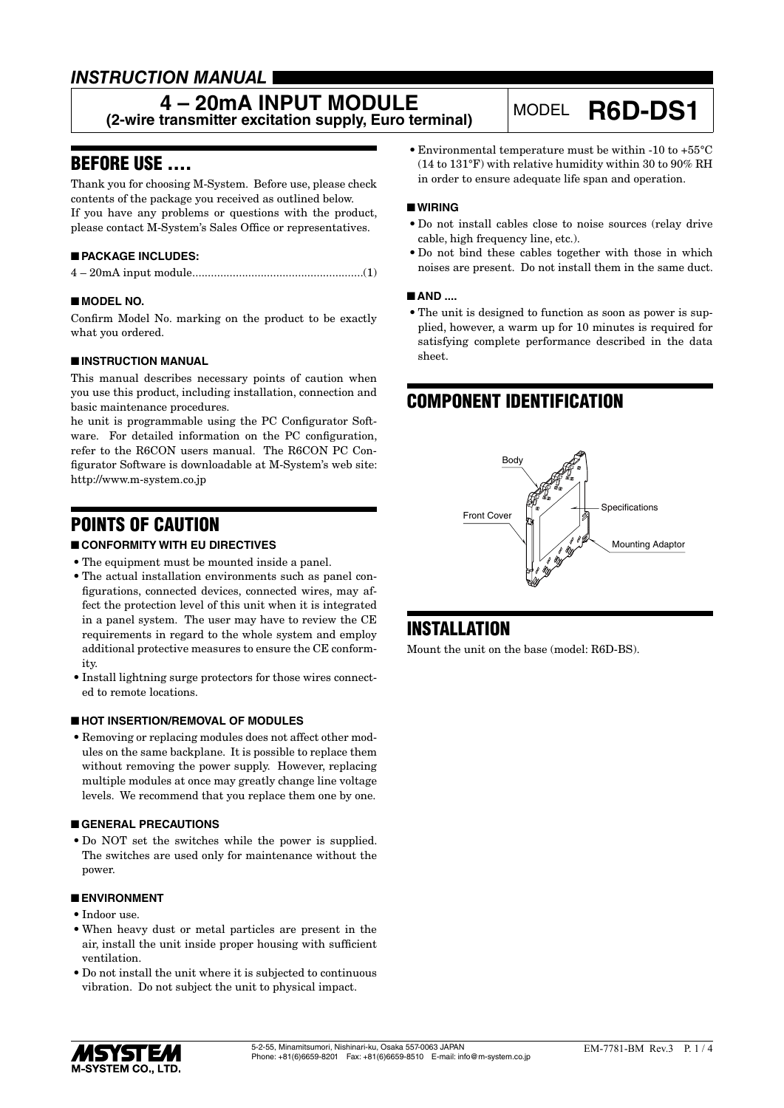# *INSTRUCTION MANUAL*

# **4 – 20mA INPUT MODULE**

**(2-wire transmitter excitation supply, Euro terminal)** MODEL **R6D-DS1**

# BEFORE USE ....

Thank you for choosing M-System. Before use, please check contents of the package you received as outlined below. If you have any problems or questions with the product, please contact M-System's Sales Office or representatives.

# ■ **PACKAGE INCLUDES:**

|--|--|--|--|

### ■ **MODEL NO.**

Confirm Model No. marking on the product to be exactly what you ordered.

### ■ **INSTRUCTION MANUAL**

This manual describes necessary points of caution when you use this product, including installation, connection and basic maintenance procedures.

he unit is programmable using the PC Configurator Software. For detailed information on the PC configuration, refer to the R6CON users manual. The R6CON PC Configurator Software is downloadable at M-System's web site: http://www.m-system.co.jp

# POINTS OF CAUTION

## ■ **CONFORMITY WITH EU DIRECTIVES**

- The equipment must be mounted inside a panel.
- The actual installation environments such as panel configurations, connected devices, connected wires, may affect the protection level of this unit when it is integrated in a panel system. The user may have to review the CE requirements in regard to the whole system and employ additional protective measures to ensure the CE conformity.
- Install lightning surge protectors for those wires connected to remote locations.

### ■ **HOT INSERTION/REMOVAL OF MODULES**

• Removing or replacing modules does not affect other modules on the same backplane. It is possible to replace them without removing the power supply. However, replacing multiple modules at once may greatly change line voltage levels. We recommend that you replace them one by one.

### ■ **GENERAL PRECAUTIONS**

• Do NOT set the switches while the power is supplied. The switches are used only for maintenance without the power.

#### ■ **ENVIRONMENT**

- • Indoor use.
- • When heavy dust or metal particles are present in the air, install the unit inside proper housing with sufficient ventilation.
- • Do not install the unit where it is subjected to continuous vibration. Do not subject the unit to physical impact.

 $\bullet$  Environmental temperature must be within -10 to +55°C (14 to 131°F) with relative humidity within 30 to 90% RH in order to ensure adequate life span and operation.

### ■ **WIRING**

- • Do not install cables close to noise sources (relay drive cable, high frequency line, etc.).
- • Do not bind these cables together with those in which noises are present. Do not install them in the same duct.

#### ■ **AND ....**

• The unit is designed to function as soon as power is supplied, however, a warm up for 10 minutes is required for satisfying complete performance described in the data sheet.

# COMPONENT IDENTIFICATION



# **INSTALLATION**

Mount the unit on the base (model: R6D-BS).

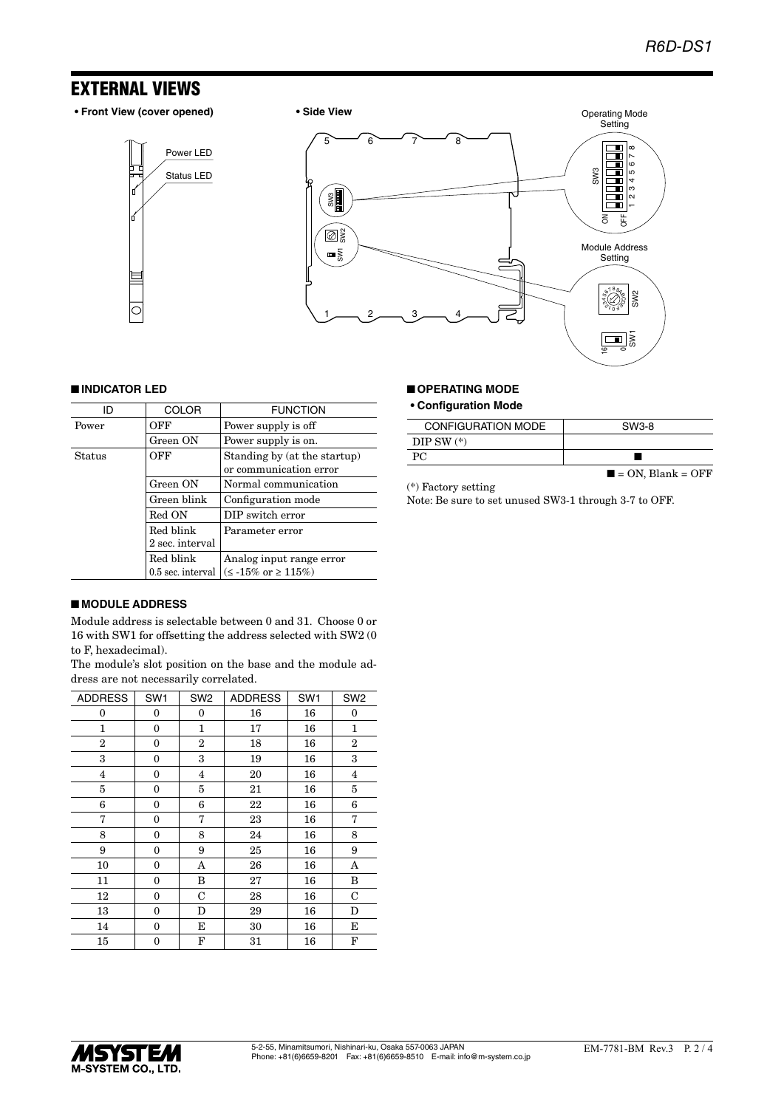# EXTERNAL VIEWS

**• Front View (cover opened) • Side View**

Status LED Power LED





### ■ **INDICATOR LED**

| ID     | <b>COLOR</b>      | <b>FUNCTION</b>                                        |
|--------|-------------------|--------------------------------------------------------|
| Power  | OFF               | Power supply is off                                    |
|        | Green ON          | Power supply is on.                                    |
| Status | OFF               | Standing by (at the startup)<br>or communication error |
|        | Green ON          | Normal communication                                   |
|        | Green blink       | Configuration mode                                     |
|        | Red ON            | DIP switch error                                       |
|        | Red blink         | Parameter error                                        |
|        | 2 sec. interval   |                                                        |
|        | Red blink         | Analog input range error                               |
|        | 0.5 sec. interval | $(\leq -15\% \text{ or } \geq 115\%)$                  |

#### ■ **OPERATING MODE**

#### **• Configuration Mode**

| <b>CONFIGURATION MODE</b> | SW3-8                            |
|---------------------------|----------------------------------|
| DIP SW $(*)$              |                                  |
| PC.                       |                                  |
|                           | $\blacksquare$ = ON, Blank = OFF |

(\*) Factory setting

Note: Be sure to set unused SW3-1 through 3-7 to OFF.

### ■ **MODULE ADDRESS**

Module address is selectable between 0 and 31. Choose 0 or 16 with SW1 for offsetting the address selected with SW2 (0 to F, hexadecimal).

The module's slot position on the base and the module address are not necessarily correlated.

| <b>ADDRESS</b> | SW <sub>1</sub>  | SW <sub>2</sub> | <b>ADDRESS</b> | SW <sub>1</sub> | SW <sub>2</sub> |
|----------------|------------------|-----------------|----------------|-----------------|-----------------|
| 0              | $\bf{0}$         | 0               | 16             | 16              | $\bf{0}$        |
| 1              | 0                | 1               | 17             | 16              | $\mathbf{1}$    |
| $\overline{2}$ | $\boldsymbol{0}$ | 2               | 18             | 16              | $\overline{2}$  |
| 3              | $\mathbf{0}$     | 3               | 19             | 16              | 3               |
| $\overline{4}$ | $\mathbf{0}$     | $\overline{4}$  | 20             | 16              | $\overline{4}$  |
| 5              | $\bf{0}$         | 5               | 21             | 16              | 5               |
| 6              | $\boldsymbol{0}$ | 6               | 22             | 16              | 6               |
| 7              | $\boldsymbol{0}$ | 7               | 23             | 16              | 7               |
| 8              | $\mathbf{0}$     | 8               | 24             | 16              | 8               |
| 9              | $\mathbf{0}$     | 9               | 25             | 16              | 9               |
| 10             | $\mathbf{0}$     | A               | 26             | 16              | A               |
| 11             | $\mathbf{0}$     | B               | 27             | 16              | B               |
| 12             | $\mathbf{0}$     | С               | 28             | 16              | $\mathbf C$     |
| 13             | 0                | D               | 29             | 16              | D               |
| 14             | $\mathbf{0}$     | Е               | 30             | 16              | Е               |
| 15             | $\boldsymbol{0}$ | F               | 31             | 16              | F               |

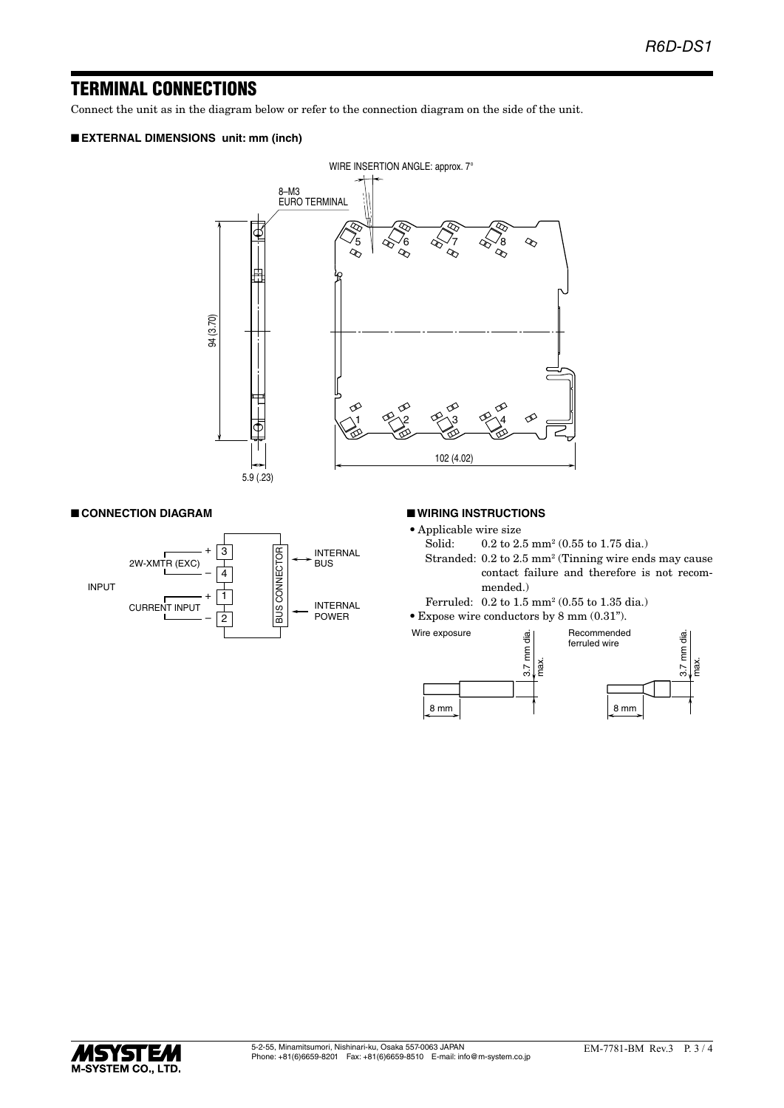# TERMINAL CONNECTIONS

Connect the unit as in the diagram below or refer to the connection diagram on the side of the unit.

# ■ **EXTERNAL DIMENSIONS unit: mm (inch)**



#### ■ **CONNECTION DIAGRAM**



#### ■ **WIRING INSTRUCTIONS**

- Applicable wire size<br>Solid:  $0.2$  to  $2$ .
- Solid: 0.2 to 2.5 mm<sup>2</sup> (0.55 to 1.75 dia.)
- Stranded: 0.2 to 2.5 mm<sup>2</sup> (Tinning wire ends may cause contact failure and therefore is not recommended.)
- Ferruled: 0.2 to 1.5 mm2 (0.55 to 1.35 dia.)
- • Expose wire conductors by 8 mm (0.31").